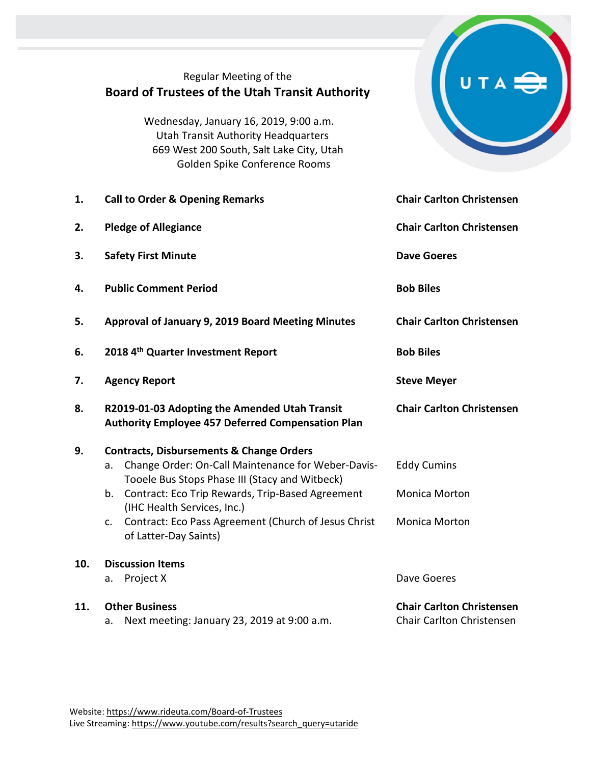## Regular Meeting of the **Board of Trustees of the Utah Transit Authority**

Wednesday, January 16, 2019, 9:00 a.m. Utah Transit Authority Headquarters 669 West 200 South, Salt Lake City, Utah Golden Spike Conference Rooms